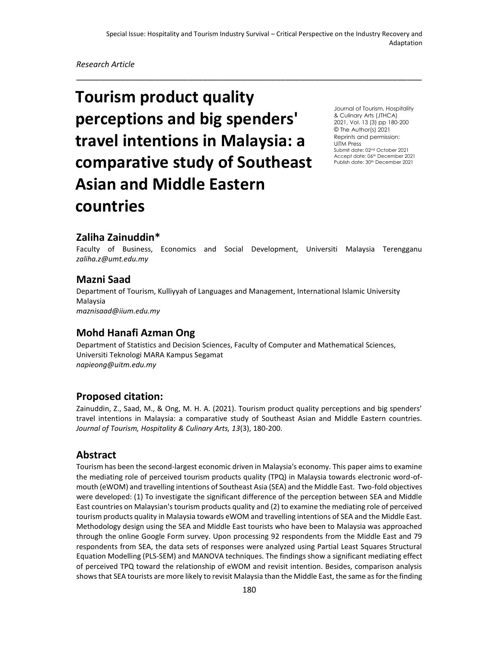\_\_\_\_\_\_\_\_\_\_\_\_\_\_\_\_\_\_\_\_\_\_\_\_\_\_\_\_\_\_\_\_\_\_\_\_\_\_\_\_\_\_\_\_\_\_\_\_\_\_\_\_\_\_\_\_\_\_\_\_\_\_\_\_\_\_\_\_\_\_\_

#### *Research Article*

# **Tourism product quality perceptions and big spenders' travel intentions in Malaysia: a comparative study of Southeast Asian and Middle Eastern countries**

Journal of Tourism, Hospitality & Culinary Arts (JTHCA) 2021, Vol. 13 (3) pp 180-200 © The Author(s) 2021 Reprints and permission: UiTM Press Submit date: 02nd October 2021 Accept date: 06<sup>th</sup> December 2021 Publish date: 30<sup>th</sup> December 2021

## **Zaliha Zainuddin\***

Faculty of Business, Economics and Social Development, Universiti Malaysia Terengganu *zaliha.z@umt.edu.my*

#### **Mazni Saad**

Department of Tourism, Kulliyyah of Languages and Management, International Islamic University Malaysia *maznisaad@iium.edu.my*

#### **Mohd Hanafi Azman Ong**

Department of Statistics and Decision Sciences, Faculty of Computer and Mathematical Sciences, Universiti Teknologi MARA Kampus Segamat *napieong@uitm.edu.my*

#### **Proposed citation:**

Zainuddin, Z., Saad, M., & Ong, M. H. A. (2021). Tourism product quality perceptions and big spenders' travel intentions in Malaysia: a comparative study of Southeast Asian and Middle Eastern countries. *Journal of Tourism, Hospitality & Culinary Arts, 13*(3), 180-200.

#### **Abstract**

Tourism has been the second-largest economic driven in Malaysia's economy. This paper aims to examine the mediating role of perceived tourism products quality (TPQ) in Malaysia towards electronic word-ofmouth (eWOM) and travelling intentions of Southeast Asia (SEA) and the Middle East. Two-fold objectives were developed: (1) To investigate the significant difference of the perception between SEA and Middle East countries on Malaysian's tourism products quality and (2) to examine the mediating role of perceived tourism products quality in Malaysia towards eWOM and travelling intentions of SEA and the Middle East. Methodology design using the SEA and Middle East tourists who have been to Malaysia was approached through the online Google Form survey. Upon processing 92 respondents from the Middle East and 79 respondents from SEA, the data sets of responses were analyzed using Partial Least Squares Structural Equation Modelling (PLS-SEM) and MANOVA techniques. The findings show a significant mediating effect of perceived TPQ toward the relationship of eWOM and revisit intention. Besides, comparison analysis shows that SEA tourists are more likely to revisit Malaysia than the Middle East, the same as for the finding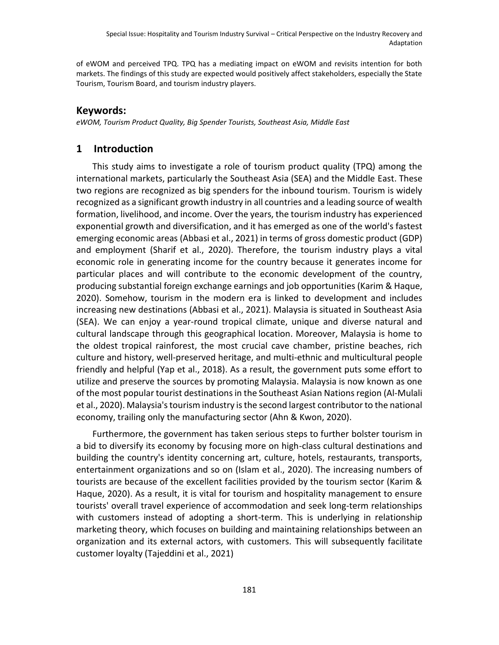of eWOM and perceived TPQ. TPQ has a mediating impact on eWOM and revisits intention for both markets. The findings of this study are expected would positively affect stakeholders, especially the State Tourism, Tourism Board, and tourism industry players.

#### **Keywords:**

*eWOM, Tourism Product Quality, Big Spender Tourists, Southeast Asia, Middle East*

## **1 Introduction**

This study aims to investigate a role of tourism product quality (TPQ) among the international markets, particularly the Southeast Asia (SEA) and the Middle East. These two regions are recognized as big spenders for the inbound tourism. Tourism is widely recognized as a significant growth industry in all countries and a leading source of wealth formation, livelihood, and income. Over the years, the tourism industry has experienced exponential growth and diversification, and it has emerged as one of the world's fastest emerging economic areas (Abbasi et al., 2021) in terms of gross domestic product (GDP) and employment (Sharif et al., 2020). Therefore, the tourism industry plays a vital economic role in generating income for the country because it generates income for particular places and will contribute to the economic development of the country, producing substantial foreign exchange earnings and job opportunities (Karim & Haque, 2020). Somehow, tourism in the modern era is linked to development and includes increasing new destinations (Abbasi et al., 2021). Malaysia is situated in Southeast Asia (SEA). We can enjoy a year-round tropical climate, unique and diverse natural and cultural landscape through this geographical location. Moreover, Malaysia is home to the oldest tropical rainforest, the most crucial cave chamber, pristine beaches, rich culture and history, well-preserved heritage, and multi-ethnic and multicultural people friendly and helpful (Yap et al., 2018). As a result, the government puts some effort to utilize and preserve the sources by promoting Malaysia. Malaysia is now known as one of the most popular tourist destinations in the Southeast Asian Nations region (Al-Mulali et al., 2020). Malaysia's tourism industry is the second largest contributor to the national economy, trailing only the manufacturing sector (Ahn & Kwon, 2020).

Furthermore, the government has taken serious steps to further bolster tourism in a bid to diversify its economy by focusing more on high-class cultural destinations and building the country's identity concerning art, culture, hotels, restaurants, transports, entertainment organizations and so on (Islam et al., 2020). The increasing numbers of tourists are because of the excellent facilities provided by the tourism sector (Karim & Haque, 2020). As a result, it is vital for tourism and hospitality management to ensure tourists' overall travel experience of accommodation and seek long-term relationships with customers instead of adopting a short-term. This is underlying in relationship marketing theory, which focuses on building and maintaining relationships between an organization and its external actors, with customers. This will subsequently facilitate customer loyalty (Tajeddini et al., 2021)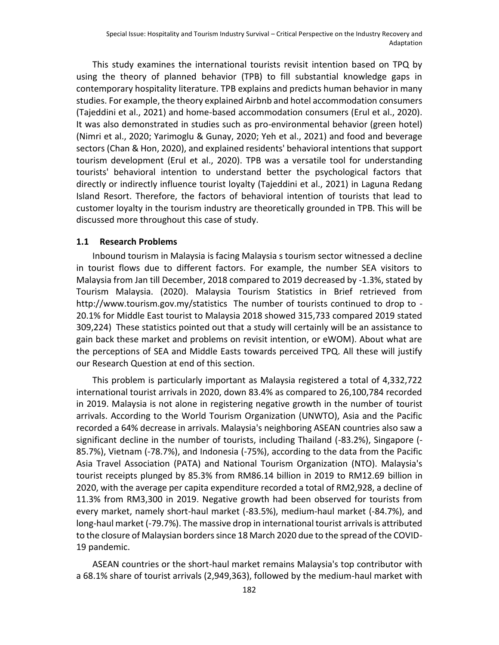This study examines the international tourists revisit intention based on TPQ by using the theory of planned behavior (TPB) to fill substantial knowledge gaps in contemporary hospitality literature. TPB explains and predicts human behavior in many studies. For example, the theory explained Airbnb and hotel accommodation consumers (Tajeddini et al., 2021) and home-based accommodation consumers (Erul et al., 2020). It was also demonstrated in studies such as pro-environmental behavior (green hotel) (Nimri et al., 2020; Yarimoglu & Gunay, 2020; Yeh et al., 2021) and food and beverage sectors (Chan & Hon, 2020), and explained residents' behavioral intentions that support tourism development (Erul et al., 2020). TPB was a versatile tool for understanding tourists' behavioral intention to understand better the psychological factors that directly or indirectly influence tourist loyalty (Tajeddini et al., 2021) in Laguna Redang Island Resort. Therefore, the factors of behavioral intention of tourists that lead to customer loyalty in the tourism industry are theoretically grounded in TPB. This will be discussed more throughout this case of study.

#### **1.1 Research Problems**

Inbound tourism in Malaysia is facing Malaysia s tourism sector witnessed a decline in tourist flows due to different factors. For example, the number SEA visitors to Malaysia from Jan till December, 2018 compared to 2019 decreased by -1.3%, stated by Tourism Malaysia. (2020). Malaysia Tourism Statistics in Brief retrieved from http://www.tourism.gov.my/statistics The number of tourists continued to drop to - 20.1% for Middle East tourist to Malaysia 2018 showed 315,733 compared 2019 stated 309,224) These statistics pointed out that a study will certainly will be an assistance to gain back these market and problems on revisit intention, or eWOM). About what are the perceptions of SEA and Middle Easts towards perceived TPQ. All these will justify our Research Question at end of this section.

This problem is particularly important as Malaysia registered a total of 4,332,722 international tourist arrivals in 2020, down 83.4% as compared to 26,100,784 recorded in 2019. Malaysia is not alone in registering negative growth in the number of tourist arrivals. According to the World Tourism Organization (UNWTO), Asia and the Pacific recorded a 64% decrease in arrivals. Malaysia's neighboring ASEAN countries also saw a significant decline in the number of tourists, including Thailand (-83.2%), Singapore (- 85.7%), Vietnam (-78.7%), and Indonesia (-75%), according to the data from the Pacific Asia Travel Association (PATA) and National Tourism Organization (NTO). Malaysia's tourist receipts plunged by 85.3% from RM86.14 billion in 2019 to RM12.69 billion in 2020, with the average per capita expenditure recorded a total of RM2,928, a decline of 11.3% from RM3,300 in 2019. Negative growth had been observed for tourists from every market, namely short-haul market (-83.5%), medium-haul market (-84.7%), and long-haul market (-79.7%). The massive drop in international tourist arrivals is attributed to the closure of Malaysian borders since 18 March 2020 due to the spread of the COVID-19 pandemic.

ASEAN countries or the short-haul market remains Malaysia's top contributor with a 68.1% share of tourist arrivals (2,949,363), followed by the medium-haul market with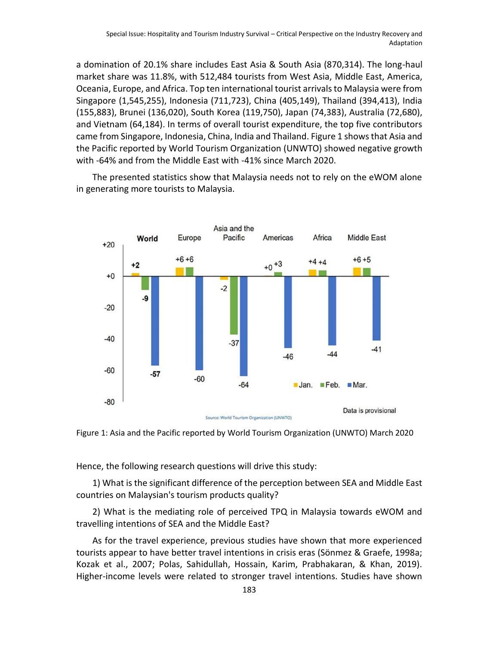a domination of 20.1% share includes East Asia & South Asia (870,314). The long-haul market share was 11.8%, with 512,484 tourists from West Asia, Middle East, America, Oceania, Europe, and Africa. Top ten international tourist arrivals to Malaysia were from Singapore (1,545,255), Indonesia (711,723), China (405,149), Thailand (394,413), India (155,883), Brunei (136,020), South Korea (119,750), Japan (74,383), Australia (72,680), and Vietnam (64,184). In terms of overall tourist expenditure, the top five contributors came from Singapore, Indonesia, China, India and Thailand. Figure 1 shows that Asia and the Pacific reported by World Tourism Organization (UNWTO) showed negative growth with -64% and from the Middle East with -41% since March 2020.

The presented statistics show that Malaysia needs not to rely on the eWOM alone in generating more tourists to Malaysia.





Hence, the following research questions will drive this study:

1) What is the significant difference of the perception between SEA and Middle East countries on Malaysian's tourism products quality?

2) What is the mediating role of perceived TPQ in Malaysia towards eWOM and travelling intentions of SEA and the Middle East?

As for the travel experience, previous studies have shown that more experienced tourists appear to have better travel intentions in crisis eras (Sönmez & Graefe, 1998a; Kozak et al., 2007; Polas, Sahidullah, Hossain, Karim, Prabhakaran, & Khan, 2019). Higher-income levels were related to stronger travel intentions. Studies have shown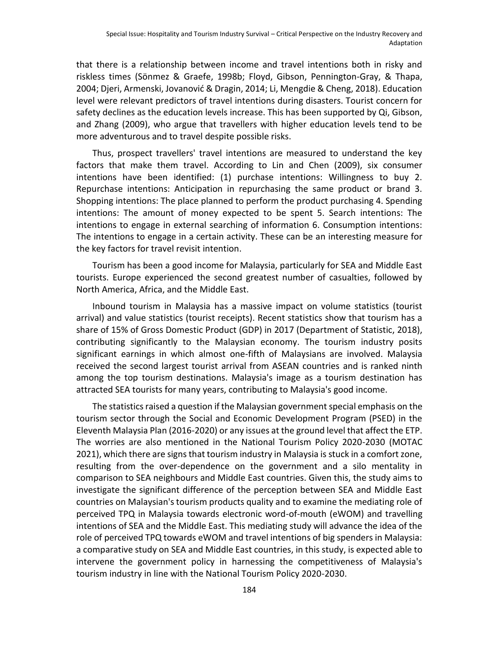that there is a relationship between income and travel intentions both in risky and riskless times (Sönmez & Graefe, 1998b; Floyd, Gibson, Pennington-Gray, & Thapa, 2004; Djeri, Armenski, Jovanović & Dragin, 2014; Li, Mengdie & Cheng, 2018). Education level were relevant predictors of travel intentions during disasters. Tourist concern for safety declines as the education levels increase. This has been supported by Qi, Gibson, and Zhang (2009), who argue that travellers with higher education levels tend to be more adventurous and to travel despite possible risks.

Thus, prospect travellers' travel intentions are measured to understand the key factors that make them travel. According to Lin and Chen (2009), six consumer intentions have been identified: (1) purchase intentions: Willingness to buy 2. Repurchase intentions: Anticipation in repurchasing the same product or brand 3. Shopping intentions: The place planned to perform the product purchasing 4. Spending intentions: The amount of money expected to be spent 5. Search intentions: The intentions to engage in external searching of information 6. Consumption intentions: The intentions to engage in a certain activity. These can be an interesting measure for the key factors for travel revisit intention.

Tourism has been a good income for Malaysia, particularly for SEA and Middle East tourists. Europe experienced the second greatest number of casualties, followed by North America, Africa, and the Middle East.

Inbound tourism in Malaysia has a massive impact on volume statistics (tourist arrival) and value statistics (tourist receipts). Recent statistics show that tourism has a share of 15% of Gross Domestic Product (GDP) in 2017 (Department of Statistic, 2018), contributing significantly to the Malaysian economy. The tourism industry posits significant earnings in which almost one-fifth of Malaysians are involved. Malaysia received the second largest tourist arrival from ASEAN countries and is ranked ninth among the top tourism destinations. Malaysia's image as a tourism destination has attracted SEA tourists for many years, contributing to Malaysia's good income.

The statistics raised a question if the Malaysian government special emphasis on the tourism sector through the Social and Economic Development Program (PSED) in the Eleventh Malaysia Plan (2016-2020) or any issues at the ground level that affect the ETP. The worries are also mentioned in the National Tourism Policy 2020-2030 (MOTAC 2021), which there are signs that tourism industry in Malaysia is stuck in a comfort zone, resulting from the over-dependence on the government and a silo mentality in comparison to SEA neighbours and Middle East countries. Given this, the study aims to investigate the significant difference of the perception between SEA and Middle East countries on Malaysian's tourism products quality and to examine the mediating role of perceived TPQ in Malaysia towards electronic word-of-mouth (eWOM) and travelling intentions of SEA and the Middle East. This mediating study will advance the idea of the role of perceived TPQ towards eWOM and travel intentions of big spenders in Malaysia: a comparative study on SEA and Middle East countries, in this study, is expected able to intervene the government policy in harnessing the competitiveness of Malaysia's tourism industry in line with the National Tourism Policy 2020-2030.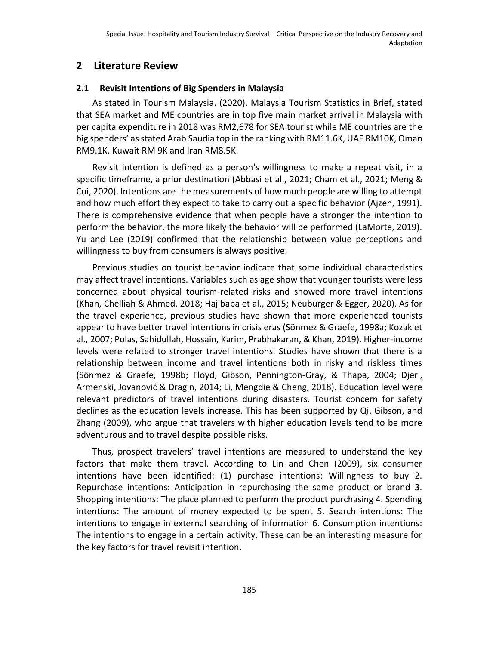## **2 Literature Review**

## **2.1 Revisit Intentions of Big Spenders in Malaysia**

As stated in Tourism Malaysia. (2020). Malaysia Tourism Statistics in Brief, stated that SEA market and ME countries are in top five main market arrival in Malaysia with per capita expenditure in 2018 was RM2,678 for SEA tourist while ME countries are the big spenders' as stated Arab Saudia top in the ranking with RM11.6K, UAE RM10K, Oman RM9.1K, Kuwait RM 9K and Iran RM8.5K.

Revisit intention is defined as a person's willingness to make a repeat visit, in a specific timeframe, a prior destination (Abbasi et al., 2021; Cham et al., 2021; Meng & Cui, 2020). Intentions are the measurements of how much people are willing to attempt and how much effort they expect to take to carry out a specific behavior (Ajzen, 1991). There is comprehensive evidence that when people have a stronger the intention to perform the behavior, the more likely the behavior will be performed (LaMorte, 2019). Yu and Lee (2019) confirmed that the relationship between value perceptions and willingness to buy from consumers is always positive.

Previous studies on tourist behavior indicate that some individual characteristics may affect travel intentions. Variables such as age show that younger tourists were less concerned about physical tourism-related risks and showed more travel intentions (Khan, Chelliah & Ahmed, 2018; Hajibaba et al., 2015; Neuburger & Egger, 2020). As for the travel experience, previous studies have shown that more experienced tourists appear to have better travel intentions in crisis eras (Sönmez & Graefe, 1998a; Kozak et al., 2007; Polas, Sahidullah, Hossain, Karim, Prabhakaran, & Khan, 2019). Higher-income levels were related to stronger travel intentions. Studies have shown that there is a relationship between income and travel intentions both in risky and riskless times (Sönmez & Graefe, 1998b; Floyd, Gibson, Pennington-Gray, & Thapa, 2004; Djeri, Armenski, Jovanović & Dragin, 2014; Li, Mengdie & Cheng, 2018). Education level were relevant predictors of travel intentions during disasters. Tourist concern for safety declines as the education levels increase. This has been supported by Qi, Gibson, and Zhang (2009), who argue that travelers with higher education levels tend to be more adventurous and to travel despite possible risks.

Thus, prospect travelers' travel intentions are measured to understand the key factors that make them travel. According to Lin and Chen (2009), six consumer intentions have been identified: (1) purchase intentions: Willingness to buy 2. Repurchase intentions: Anticipation in repurchasing the same product or brand 3. Shopping intentions: The place planned to perform the product purchasing 4. Spending intentions: The amount of money expected to be spent 5. Search intentions: The intentions to engage in external searching of information 6. Consumption intentions: The intentions to engage in a certain activity. These can be an interesting measure for the key factors for travel revisit intention.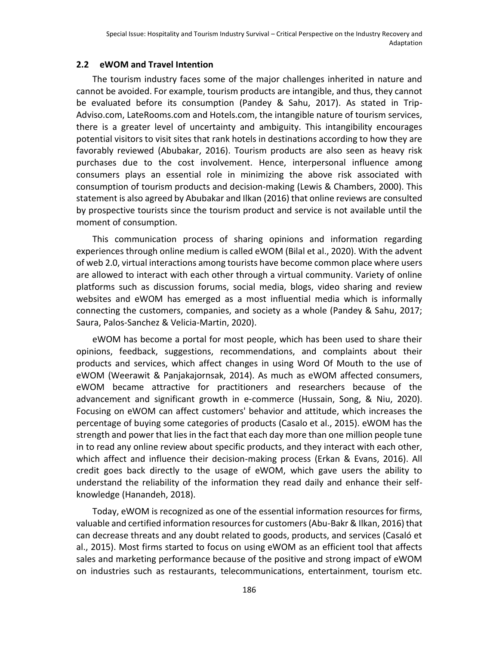#### **2.2 eWOM and Travel Intention**

The tourism industry faces some of the major challenges inherited in nature and cannot be avoided. For example, tourism products are intangible, and thus, they cannot be evaluated before its consumption (Pandey & Sahu, 2017). As stated in Trip-Adviso.com, LateRooms.com and Hotels.com, the intangible nature of tourism services, there is a greater level of uncertainty and ambiguity. This intangibility encourages potential visitors to visit sites that rank hotels in destinations according to how they are favorably reviewed (Abubakar, 2016). Tourism products are also seen as heavy risk purchases due to the cost involvement. Hence, interpersonal influence among consumers plays an essential role in minimizing the above risk associated with consumption of tourism products and decision-making (Lewis & Chambers, 2000). This statement is also agreed by Abubakar and Ilkan (2016) that online reviews are consulted by prospective tourists since the tourism product and service is not available until the moment of consumption.

This communication process of sharing opinions and information regarding experiences through online medium is called eWOM (Bilal et al., 2020). With the advent of web 2.0, virtual interactions among tourists have become common place where users are allowed to interact with each other through a virtual community. Variety of online platforms such as discussion forums, social media, blogs, video sharing and review websites and eWOM has emerged as a most influential media which is informally connecting the customers, companies, and society as a whole (Pandey & Sahu, 2017; Saura, Palos-Sanchez & Velicia-Martin, 2020).

eWOM has become a portal for most people, which has been used to share their opinions, feedback, suggestions, recommendations, and complaints about their products and services, which affect changes in using Word Of Mouth to the use of eWOM (Weerawit & Panjakajornsak, 2014). As much as eWOM affected consumers, eWOM became attractive for practitioners and researchers because of the advancement and significant growth in e-commerce (Hussain, Song, & Niu, 2020). Focusing on eWOM can affect customers' behavior and attitude, which increases the percentage of buying some categories of products (Casalo et al., 2015). eWOM has the strength and power that lies in the fact that each day more than one million people tune in to read any online review about specific products, and they interact with each other, which affect and influence their decision-making process (Erkan & Evans, 2016). All credit goes back directly to the usage of eWOM, which gave users the ability to understand the reliability of the information they read daily and enhance their selfknowledge (Hanandeh, 2018).

Today, eWOM is recognized as one of the essential information resources for firms, valuable and certified information resources for customers (Abu-Bakr & Ilkan, 2016) that can decrease threats and any doubt related to goods, products, and services (Casaló et al., 2015). Most firms started to focus on using eWOM as an efficient tool that affects sales and marketing performance because of the positive and strong impact of eWOM on industries such as restaurants, telecommunications, entertainment, tourism etc.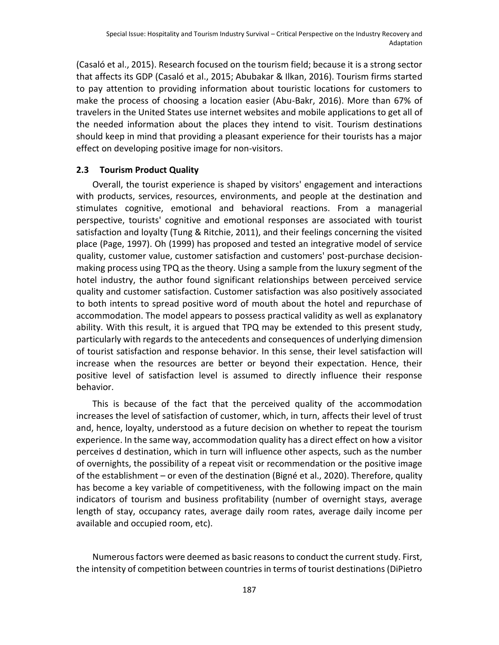(Casaló et al., 2015). Research focused on the tourism field; because it is a strong sector that affects its GDP (Casaló et al., 2015; Abubakar & Ilkan, 2016). Tourism firms started to pay attention to providing information about touristic locations for customers to make the process of choosing a location easier (Abu-Bakr, 2016). More than 67% of travelers in the United States use internet websites and mobile applications to get all of the needed information about the places they intend to visit. Tourism destinations should keep in mind that providing a pleasant experience for their tourists has a major effect on developing positive image for non-visitors.

#### **2.3 Tourism Product Quality**

Overall, the tourist experience is shaped by visitors' engagement and interactions with products, services, resources, environments, and people at the destination and stimulates cognitive, emotional and behavioral reactions. From a managerial perspective, tourists' cognitive and emotional responses are associated with tourist satisfaction and loyalty (Tung & Ritchie, 2011), and their feelings concerning the visited place (Page, 1997). Oh (1999) has proposed and tested an integrative model of service quality, customer value, customer satisfaction and customers' post-purchase decisionmaking process using TPQ as the theory. Using a sample from the luxury segment of the hotel industry, the author found significant relationships between perceived service quality and customer satisfaction. Customer satisfaction was also positively associated to both intents to spread positive word of mouth about the hotel and repurchase of accommodation. The model appears to possess practical validity as well as explanatory ability. With this result, it is argued that TPQ may be extended to this present study, particularly with regards to the antecedents and consequences of underlying dimension of tourist satisfaction and response behavior. In this sense, their level satisfaction will increase when the resources are better or beyond their expectation. Hence, their positive level of satisfaction level is assumed to directly influence their response behavior.

This is because of the fact that the perceived quality of the accommodation increases the level of satisfaction of customer, which, in turn, affects their level of trust and, hence, loyalty, understood as a future decision on whether to repeat the tourism experience. In the same way, accommodation quality has a direct effect on how a visitor perceives d destination, which in turn will influence other aspects, such as the number of overnights, the possibility of a repeat visit or recommendation or the positive image of the establishment – or even of the destination (Bigné et al., 2020). Therefore, quality has become a key variable of competitiveness, with the following impact on the main indicators of tourism and business profitability (number of overnight stays, average length of stay, occupancy rates, average daily room rates, average daily income per available and occupied room, etc).

Numerous factors were deemed as basic reasons to conduct the current study. First, the intensity of competition between countries in terms of tourist destinations (DiPietro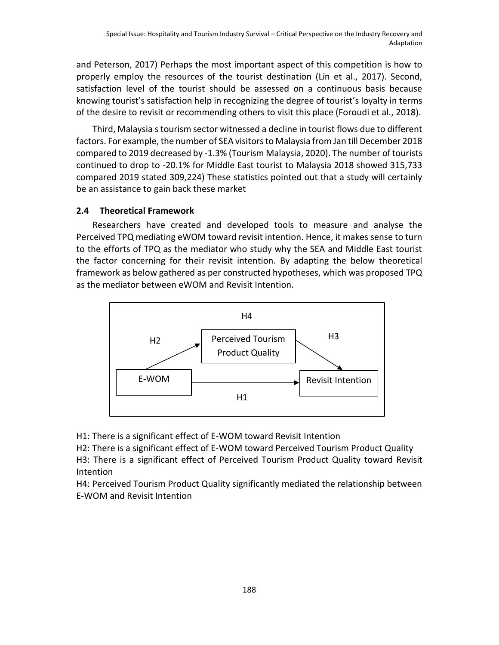and Peterson, 2017) Perhaps the most important aspect of this competition is how to properly employ the resources of the tourist destination (Lin et al., 2017). Second, satisfaction level of the tourist should be assessed on a continuous basis because knowing tourist's satisfaction help in recognizing the degree of tourist's loyalty in terms of the desire to revisit or recommending others to visit this place (Foroudi et al., 2018).

Third, Malaysia s tourism sector witnessed a decline in tourist flows due to different factors. For example, the number of SEA visitors to Malaysia from Jan till December 2018 compared to 2019 decreased by -1.3% (Tourism Malaysia, 2020). The number of tourists continued to drop to -20.1% for Middle East tourist to Malaysia 2018 showed 315,733 compared 2019 stated 309,224) These statistics pointed out that a study will certainly be an assistance to gain back these market

## **2.4 Theoretical Framework**

Researchers have created and developed tools to measure and analyse the Perceived TPQ mediating eWOM toward revisit intention. Hence, it makes sense to turn to the efforts of TPQ as the mediator who study why the SEA and Middle East tourist the factor concerning for their revisit intention. By adapting the below theoretical framework as below gathered as per constructed hypotheses, which was proposed TPQ as the mediator between eWOM and Revisit Intention.



H1: There is a significant effect of E-WOM toward Revisit Intention

H2: There is a significant effect of E-WOM toward Perceived Tourism Product Quality

H3: There is a significant effect of Perceived Tourism Product Quality toward Revisit Intention

H4: Perceived Tourism Product Quality significantly mediated the relationship between E-WOM and Revisit Intention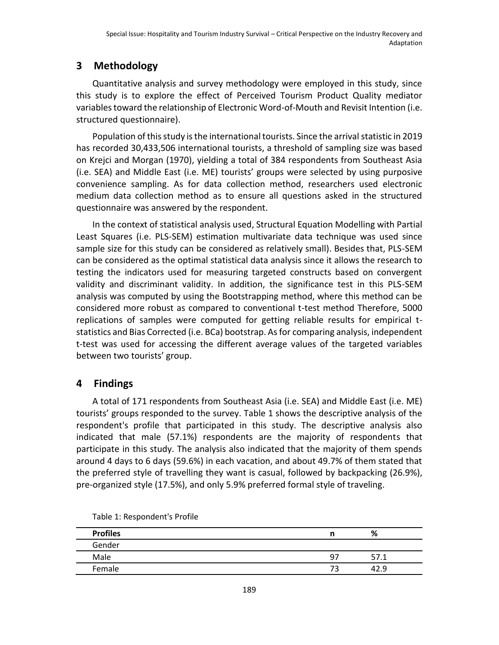# **3 Methodology**

Quantitative analysis and survey methodology were employed in this study, since this study is to explore the effect of Perceived Tourism Product Quality mediator variables toward the relationship of Electronic Word-of-Mouth and Revisit Intention (i.e. structured questionnaire).

Population of this study is the international tourists. Since the arrival statistic in 2019 has recorded 30,433,506 international tourists, a threshold of sampling size was based on Krejci and Morgan (1970), yielding a total of 384 respondents from Southeast Asia (i.e. SEA) and Middle East (i.e. ME) tourists' groups were selected by using purposive convenience sampling. As for data collection method, researchers used electronic medium data collection method as to ensure all questions asked in the structured questionnaire was answered by the respondent.

In the context of statistical analysis used, Structural Equation Modelling with Partial Least Squares (i.e. PLS-SEM) estimation multivariate data technique was used since sample size for this study can be considered as relatively small). Besides that, PLS-SEM can be considered as the optimal statistical data analysis since it allows the research to testing the indicators used for measuring targeted constructs based on convergent validity and discriminant validity. In addition, the significance test in this PLS-SEM analysis was computed by using the Bootstrapping method, where this method can be considered more robust as compared to conventional t-test method Therefore, 5000 replications of samples were computed for getting reliable results for empirical tstatistics and Bias Corrected (i.e. BCa) bootstrap. As for comparing analysis, independent t-test was used for accessing the different average values of the targeted variables between two tourists' group.

## **4 Findings**

A total of 171 respondents from Southeast Asia (i.e. SEA) and Middle East (i.e. ME) tourists' groups responded to the survey. Table 1 shows the descriptive analysis of the respondent's profile that participated in this study. The descriptive analysis also indicated that male (57.1%) respondents are the majority of respondents that participate in this study. The analysis also indicated that the majority of them spends around 4 days to 6 days (59.6%) in each vacation, and about 49.7% of them stated that the preferred style of travelling they want is casual, followed by backpacking (26.9%), pre-organized style (17.5%), and only 5.9% preferred formal style of traveling.

| <b>Profiles</b> | n  | %    |
|-----------------|----|------|
| Gender          |    |      |
| Male            | Q. | 57.1 |
| Female          | フミ | 42 Q |

Table 1: Respondent's Profile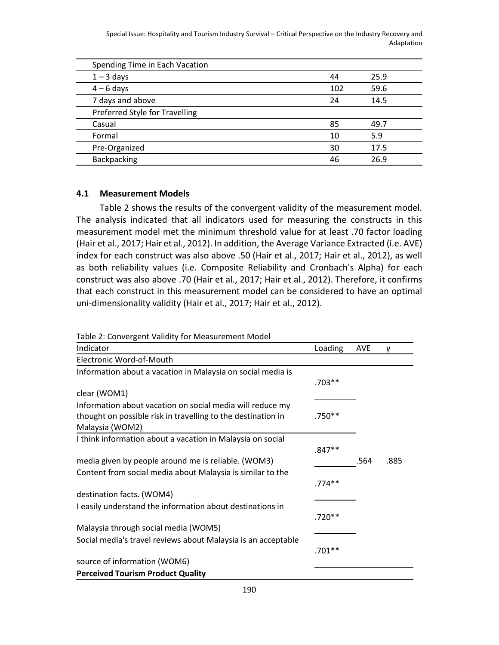Special Issue: Hospitality and Tourism Industry Survival – Critical Perspective on the Industry Recovery and Adaptation

| Spending Time in Each Vacation |     |      |
|--------------------------------|-----|------|
| $1 - 3$ days                   | 44  | 25.9 |
| $4 - 6$ days                   | 102 | 59.6 |
| 7 days and above               | 24  | 14.5 |
| Preferred Style for Travelling |     |      |
| Casual                         | 85  | 49.7 |
| Formal                         | 10  | 5.9  |
| Pre-Organized                  | 30  | 17.5 |
| Backpacking                    | 46  | 26.9 |

#### **4.1 Measurement Models**

Table 2 shows the results of the convergent validity of the measurement model. The analysis indicated that all indicators used for measuring the constructs in this measurement model met the minimum threshold value for at least .70 factor loading (Hair et al., 2017; Hair et al., 2012). In addition, the Average Variance Extracted (i.e. AVE) index for each construct was also above .50 (Hair et al., 2017; Hair et al., 2012), as well as both reliability values (i.e. Composite Reliability and Cronbach's Alpha) for each construct was also above .70 (Hair et al., 2017; Hair et al., 2012). Therefore, it confirms that each construct in this measurement model can be considered to have an optimal uni-dimensionality validity (Hair et al., 2017; Hair et al., 2012).

| Indicator                                                     | Loading  | AVE  | ν    |
|---------------------------------------------------------------|----------|------|------|
| Electronic Word-of-Mouth                                      |          |      |      |
| Information about a vacation in Malaysia on social media is   |          |      |      |
|                                                               | $.703**$ |      |      |
| clear (WOM1)                                                  |          |      |      |
| Information about vacation on social media will reduce my     |          |      |      |
| thought on possible risk in travelling to the destination in  | .750**   |      |      |
| Malaysia (WOM2)                                               |          |      |      |
| I think information about a vacation in Malaysia on social    |          |      |      |
|                                                               | .847**   |      |      |
| media given by people around me is reliable. (WOM3)           |          | .564 | .885 |
| Content from social media about Malaysia is similar to the    |          |      |      |
|                                                               | $.774**$ |      |      |
| destination facts. (WOM4)                                     |          |      |      |
| I easily understand the information about destinations in     |          |      |      |
|                                                               | .720**   |      |      |
| Malaysia through social media (WOM5)                          |          |      |      |
| Social media's travel reviews about Malaysia is an acceptable |          |      |      |
|                                                               | .701**   |      |      |
| source of information (WOM6)                                  |          |      |      |
| <b>Perceived Tourism Product Quality</b>                      |          |      |      |

Table 2: Convergent Validity for Measurement Model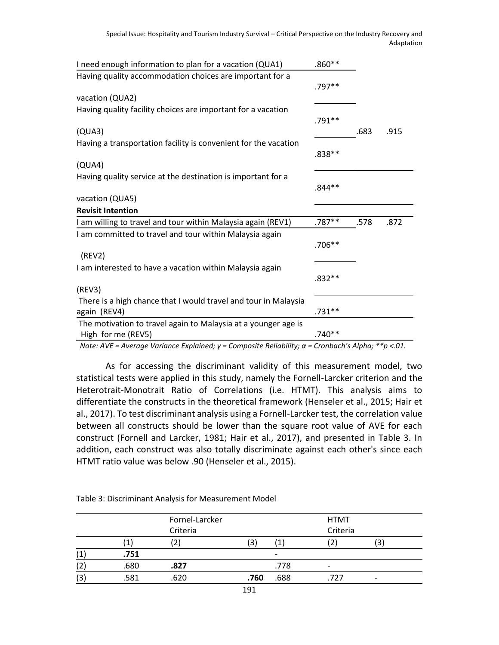Special Issue: Hospitality and Tourism Industry Survival – Critical Perspective on the Industry Recovery and Adaptation

| I need enough information to plan for a vacation (QUA1)         | $.860**$ |      |      |  |
|-----------------------------------------------------------------|----------|------|------|--|
| Having quality accommodation choices are important for a        |          |      |      |  |
|                                                                 | $.797**$ |      |      |  |
| vacation (QUA2)                                                 |          |      |      |  |
| Having quality facility choices are important for a vacation    |          |      |      |  |
|                                                                 | $.791**$ |      |      |  |
| (QUA3)                                                          |          | .683 | .915 |  |
| Having a transportation facility is convenient for the vacation |          |      |      |  |
|                                                                 | .838**   |      |      |  |
| (QUA4)                                                          |          |      |      |  |
| Having quality service at the destination is important for a    |          |      |      |  |
|                                                                 | $.844**$ |      |      |  |
| vacation (QUA5)                                                 |          |      |      |  |
| <b>Revisit Intention</b>                                        |          |      |      |  |
| I am willing to travel and tour within Malaysia again (REV1)    | .787**   | .578 | .872 |  |
| I am committed to travel and tour within Malaysia again         |          |      |      |  |
|                                                                 | $.706**$ |      |      |  |
| (REV2)                                                          |          |      |      |  |
| I am interested to have a vacation within Malaysia again        |          |      |      |  |
|                                                                 | $.832**$ |      |      |  |
| (REV3)                                                          |          |      |      |  |
| There is a high chance that I would travel and tour in Malaysia |          |      |      |  |
| again (REV4)                                                    | $.731**$ |      |      |  |
| The motivation to travel again to Malaysia at a younger age is  |          |      |      |  |
|                                                                 |          |      |      |  |

*Note: AVE = Average Variance Explained; γ = Composite Reliability; α = Cronbach's Alpha; \*\*p <.01.*

As for accessing the discriminant validity of this measurement model, two statistical tests were applied in this study, namely the Fornell-Larcker criterion and the Heterotrait-Monotrait Ratio of Correlations (i.e. HTMT). This analysis aims to differentiate the constructs in the theoretical framework (Henseler et al., 2015; Hair et al., 2017). To test discriminant analysis using a Fornell-Larcker test, the correlation value between all constructs should be lower than the square root value of AVE for each construct (Fornell and Larcker, 1981; Hair et al., 2017), and presented in Table 3. In addition, each construct was also totally discriminate against each other's since each HTMT ratio value was below .90 (Henseler et al., 2015).

|     |      | Fornel-Larcker |      |                          | <b>HTMT</b>              |                          |
|-----|------|----------------|------|--------------------------|--------------------------|--------------------------|
|     |      | Criteria       |      |                          | Criteria                 |                          |
|     |      |                | 3)   |                          |                          |                          |
| (1) | .751 |                |      | $\overline{\phantom{0}}$ |                          |                          |
| (2) | .680 | .827           |      | .778                     | $\overline{\phantom{a}}$ |                          |
| (3) | .581 | .620           | .760 | .688                     | .727                     | $\overline{\phantom{0}}$ |

Table 3: Discriminant Analysis for Measurement Model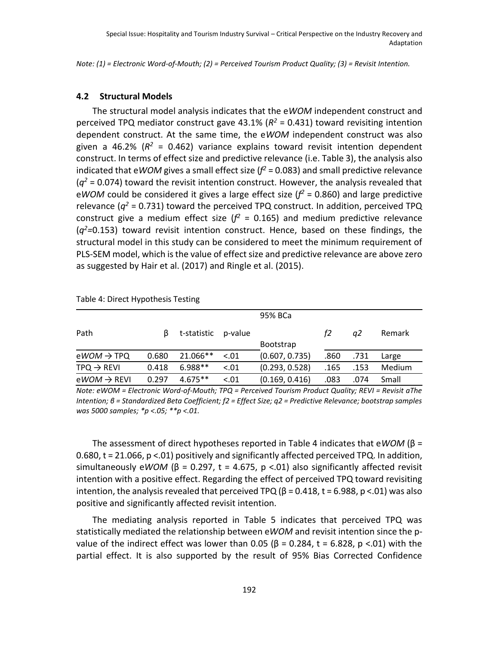*Note: (1) = Electronic Word-of-Mouth; (2) = Perceived Tourism Product Quality; (3) = Revisit Intention.*

#### **4.2 Structural Models**

The structural model analysis indicates that the e*WOM* independent construct and perceived TPQ mediator construct gave 43.1% (*R <sup>2</sup>* = 0.431) toward revisiting intention dependent construct. At the same time, the e*WOM* independent construct was also given a 46.2% (*R <sup>2</sup>* = 0.462) variance explains toward revisit intention dependent construct. In terms of effect size and predictive relevance (i.e. Table 3), the analysis also indicated that e*WOM* gives a small effect size (*f <sup>2</sup>* = 0.083) and small predictive relevance  $(q^2 = 0.074)$  toward the revisit intention construct. However, the analysis revealed that e*WOM* could be considered it gives a large effect size (*f <sup>2</sup>* = 0.860) and large predictive relevance  $(q^2 = 0.731)$  toward the perceived TPQ construct. In addition, perceived TPQ construct give a medium effect size  $(f^2 = 0.165)$  and medium predictive relevance (*q <sup>2</sup>=*0.153) toward revisit intention construct. Hence, based on these findings, the structural model in this study can be considered to meet the minimum requirement of PLS-SEM model, which is the value of effect size and predictive relevance are above zero as suggested by Hair et al. (2017) and Ringle et al. (2015).

|                         |       |             |         | 95% BCa          |      |      |        |
|-------------------------|-------|-------------|---------|------------------|------|------|--------|
| Path                    | ß     | t-statistic | p-value |                  | f2   | a2   | Remark |
|                         |       |             |         | <b>Bootstrap</b> |      |      |        |
| $eWOM \rightarrow TPQ$  | 0.680 | 21.066**    | < 0.01  | (0.607, 0.735)   | .860 | .731 | Large  |
| $TPQ \rightarrow REVI$  | 0.418 | $6.988**$   | $-.01$  | (0.293, 0.528)   | .165 | .153 | Medium |
| $eWOM \rightarrow REVI$ | 0.297 | $4.675**$   | < 0.01  | (0.169, 0.416)   | .083 | .074 | Small  |

Table 4: Direct Hypothesis Testing

*Note: eWOM = Electronic Word-of-Mouth; TPQ = Perceived Tourism Product Quality; REVI = Revisit aThe Intention; β = Standardized Beta Coefficient; f2 = Effect Size; q2 = Predictive Relevance; bootstrap samples was 5000 samples; \*p <.05; \*\*p <.01.*

The assessment of direct hypotheses reported in Table 4 indicates that e*WOM* (β = 0.680, t = 21.066, p <.01) positively and significantly affected perceived TPQ. In addition, simultaneously eWOM ( $\beta$  = 0.297, t = 4.675, p <.01) also significantly affected revisit intention with a positive effect. Regarding the effect of perceived TPQ toward revisiting intention, the analysis revealed that perceived TPQ ( $β = 0.418$ , t = 6.988, p <.01) was also positive and significantly affected revisit intention.

The mediating analysis reported in Table 5 indicates that perceived TPQ was statistically mediated the relationship between e*WOM* and revisit intention since the pvalue of the indirect effect was lower than 0.05 ( $\beta$  = 0.284, t = 6.828, p <.01) with the partial effect. It is also supported by the result of 95% Bias Corrected Confidence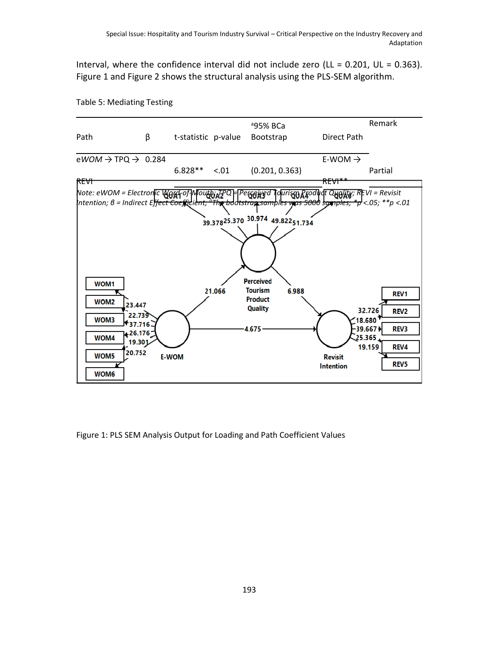Interval, where the confidence interval did not include zero (LL =  $0.201$ , UL =  $0.363$ ). Figure 1 and Figure 2 shows the structural analysis using the PLS-SEM algorithm.



Table 5: Mediating Testing

Figure 1: PLS SEM Analysis Output for Loading and Path Coefficient Values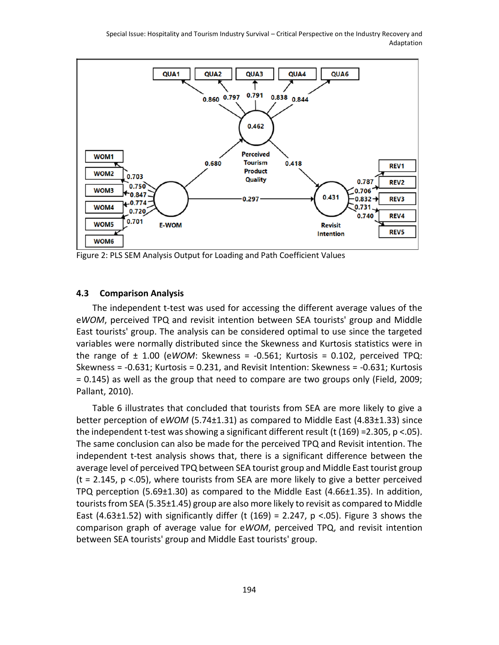Special Issue: Hospitality and Tourism Industry Survival – Critical Perspective on the Industry Recovery and Adaptation



Figure 2: PLS SEM Analysis Output for Loading and Path Coefficient Values

#### **4.3 Comparison Analysis**

The independent t-test was used for accessing the different average values of the e*WOM*, perceived TPQ and revisit intention between SEA tourists' group and Middle East tourists' group. The analysis can be considered optimal to use since the targeted variables were normally distributed since the Skewness and Kurtosis statistics were in the range of  $\pm$  1.00 (eWOM: Skewness =  $-0.561$ ; Kurtosis = 0.102, perceived TPQ: Skewness = -0.631; Kurtosis = 0.231, and Revisit Intention: Skewness = -0.631; Kurtosis = 0.145) as well as the group that need to compare are two groups only (Field, 2009; Pallant, 2010).

Table 6 illustrates that concluded that tourists from SEA are more likely to give a better perception of e*WOM* (5.74±1.31) as compared to Middle East (4.83±1.33) since the independent t-test was showing a significant different result (t (169) =2.305, p <.05). The same conclusion can also be made for the perceived TPQ and Revisit intention. The independent t-test analysis shows that, there is a significant difference between the average level of perceived TPQ between SEA tourist group and Middle East tourist group (t = 2.145, p <.05), where tourists from SEA are more likely to give a better perceived TPQ perception (5.69±1.30) as compared to the Middle East (4.66±1.35). In addition, tourists from SEA (5.35±1.45) group are also more likely to revisit as compared to Middle East (4.63 $\pm$ 1.52) with significantly differ (t (169) = 2.247, p <.05). Figure 3 shows the comparison graph of average value for e*WOM*, perceived TPQ, and revisit intention between SEA tourists' group and Middle East tourists' group.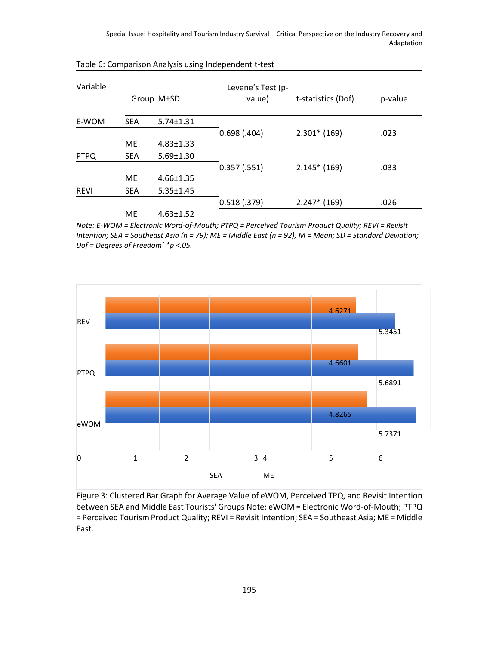| Variable    |            | Group M±SD      | Levene's Test (p-<br>value) | t-statistics (Dof) | p-value |
|-------------|------------|-----------------|-----------------------------|--------------------|---------|
| E-WOM       | <b>SEA</b> | $5.74 \pm 1.31$ |                             |                    |         |
|             |            |                 | 0.698(0.404)                | $2.301*$ (169)     | .023    |
|             | <b>ME</b>  | $4.83 \pm 1.33$ |                             |                    |         |
| <b>PTPQ</b> | <b>SEA</b> | $5.69 \pm 1.30$ |                             |                    |         |
|             |            |                 | 0.357(.551)                 | $2.145*(169)$      | .033    |
|             | ME         | $4.66 \pm 1.35$ |                             |                    |         |
| <b>REVI</b> | <b>SEA</b> | $5.35 \pm 1.45$ |                             |                    |         |
|             |            |                 | 0.518(.379)                 | $2.247*$ (169)     | .026    |
|             | ME         | $4.63 \pm 1.52$ |                             |                    |         |

Table 6: Comparison Analysis using Independent t-test

*Note: E-WOM = Electronic Word-of-Mouth; PTPQ = Perceived Tourism Product Quality; REVI = Revisit Intention; SEA = Southeast Asia (n = 79); ME = Middle East (n = 92); M = Mean; SD = Standard Deviation; Dof = Degrees of Freedom' \*p <.05.*



Figure 3: Clustered Bar Graph for Average Value of eWOM, Perceived TPQ, and Revisit Intention between SEA and Middle East Tourists' Groups Note: eWOM = Electronic Word-of-Mouth; PTPQ = Perceived Tourism Product Quality; REVI = Revisit Intention; SEA = Southeast Asia; ME = Middle East.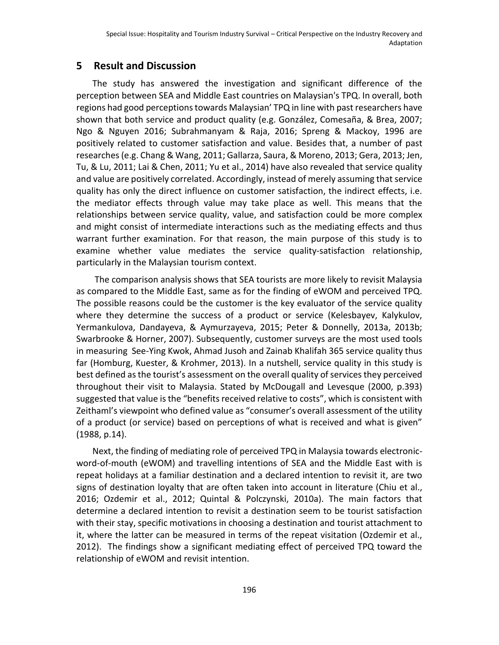## **5 Result and Discussion**

The study has answered the investigation and significant difference of the perception between SEA and Middle East countries on Malaysian's TPQ. In overall, both regions had good perceptions towards Malaysian' TPQ in line with past researchers have shown that both service and product quality (e.g. González, Comesaña, & Brea, 2007; Ngo & Nguyen 2016; Subrahmanyam & Raja, 2016; Spreng & Mackoy, 1996 are positively related to customer satisfaction and value. Besides that, a number of past researches (e.g. Chang & Wang, 2011; Gallarza, Saura, & Moreno, 2013; Gera, 2013; Jen, Tu, & Lu, 2011; Lai & Chen, 2011; Yu et al., 2014) have also revealed that service quality and value are positively correlated. Accordingly, instead of merely assuming that service quality has only the direct influence on customer satisfaction, the indirect effects, i.e. the mediator effects through value may take place as well. This means that the relationships between service quality, value, and satisfaction could be more complex and might consist of intermediate interactions such as the mediating effects and thus warrant further examination. For that reason, the main purpose of this study is to examine whether value mediates the service quality-satisfaction relationship, particularly in the Malaysian tourism context.

The comparison analysis shows that SEA tourists are more likely to revisit Malaysia as compared to the Middle East, same as for the finding of eWOM and perceived TPQ. The possible reasons could be the customer is the key evaluator of the service quality where they determine the success of a product or service (Kelesbayev, Kalykulov, Yermankulova, Dandayeva, & Aymurzayeva, 2015; Peter & Donnelly, 2013a, 2013b; Swarbrooke & Horner, 2007). Subsequently, customer surveys are the most used tools in measuring See-Ying Kwok, Ahmad Jusoh and Zainab Khalifah 365 service quality thus far (Homburg, Kuester, & Krohmer, 2013). In a nutshell, service quality in this study is best defined as the tourist's assessment on the overall quality of services they perceived throughout their visit to Malaysia. Stated by McDougall and Levesque (2000, p.393) suggested that value is the "benefits received relative to costs", which is consistent with Zeithaml's viewpoint who defined value as "consumer's overall assessment of the utility of a product (or service) based on perceptions of what is received and what is given" (1988, p.14).

Next, the finding of mediating role of perceived TPQ in Malaysia towards electronicword-of-mouth (eWOM) and travelling intentions of SEA and the Middle East with is repeat holidays at a familiar destination and a declared intention to revisit it, are two signs of destination loyalty that are often taken into account in literature (Chiu et al., 2016; Ozdemir et al., 2012; Quintal & Polczynski, 2010a). The main factors that determine a declared intention to revisit a destination seem to be tourist satisfaction with their stay, specific motivations in choosing a destination and tourist attachment to it, where the latter can be measured in terms of the repeat visitation (Ozdemir et al., 2012). The findings show a significant mediating effect of perceived TPQ toward the relationship of eWOM and revisit intention.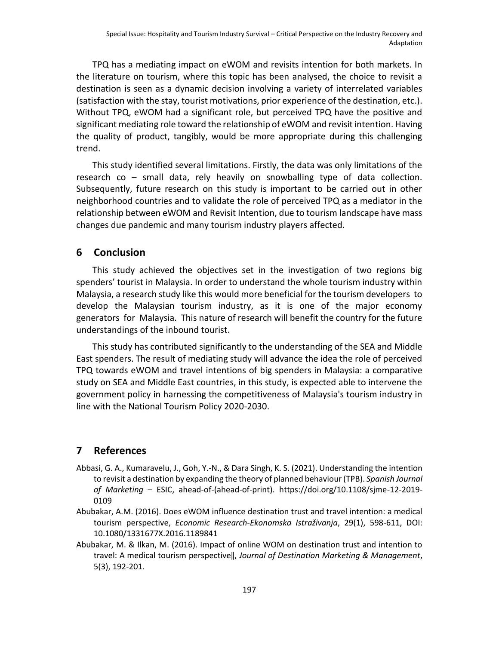TPQ has a mediating impact on eWOM and revisits intention for both markets. In the literature on tourism, where this topic has been analysed, the choice to revisit a destination is seen as a dynamic decision involving a variety of interrelated variables (satisfaction with the stay, tourist motivations, prior experience of the destination, etc.). Without TPQ, eWOM had a significant role, but perceived TPQ have the positive and significant mediating role toward the relationship of eWOM and revisit intention. Having the quality of product, tangibly, would be more appropriate during this challenging trend.

This study identified several limitations. Firstly, the data was only limitations of the research co – small data, rely heavily on snowballing type of data collection. Subsequently, future research on this study is important to be carried out in other neighborhood countries and to validate the role of perceived TPQ as a mediator in the relationship between eWOM and Revisit Intention, due to tourism landscape have mass changes due pandemic and many tourism industry players affected.

#### **6 Conclusion**

This study achieved the objectives set in the investigation of two regions big spenders' tourist in Malaysia. In order to understand the whole tourism industry within Malaysia, a research study like this would more beneficial for the tourism developers to develop the Malaysian tourism industry, as it is one of the major economy generators for Malaysia. This nature of research will benefit the country for the future understandings of the inbound tourist.

This study has contributed significantly to the understanding of the SEA and Middle East spenders. The result of mediating study will advance the idea the role of perceived TPQ towards eWOM and travel intentions of big spenders in Malaysia: a comparative study on SEA and Middle East countries, in this study, is expected able to intervene the government policy in harnessing the competitiveness of Malaysia's tourism industry in line with the National Tourism Policy 2020-2030.

#### **7 References**

- Abbasi, G. A., Kumaravelu, J., Goh, Y.-N., & Dara Singh, K. S. (2021). Understanding the intention to revisit a destination by expanding the theory of planned behaviour (TPB). *Spanish Journal of Marketing* – ESIC, ahead-of-(ahead-of-print). https://doi.org/10.1108/sjme-12-2019- 0109
- Abubakar, A.M. (2016). Does eWOM influence destination trust and travel intention: a medical tourism perspective, *Economic Research-Ekonomska Istraživanja*, 29(1), 598-611, DOI: 10.1080/1331677X.2016.1189841
- Abubakar, M. & Ilkan, M. (2016). Impact of online WOM on destination trust and intention to travel: A medical tourism perspective‖, *Journal of Destination Marketing & Management*, 5(3), 192-201.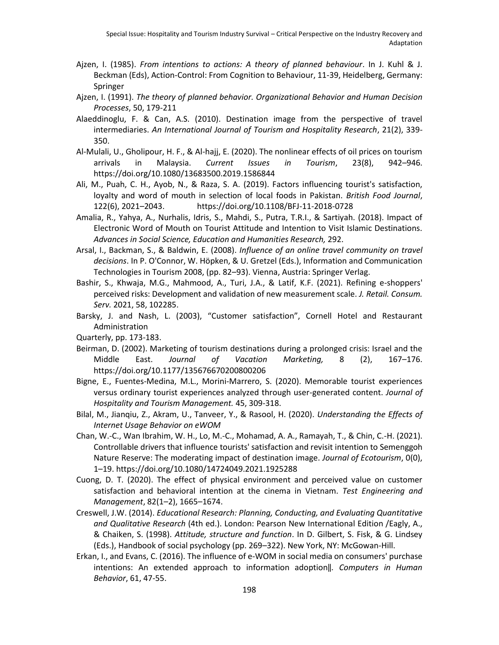- Ajzen, I. (1985). *From intentions to actions: A theory of planned behaviour*. In J. Kuhl & J. Beckman (Eds), Action-Control: From Cognition to Behaviour, 11-39, Heidelberg, Germany: Springer
- Ajzen, I. (1991). *The theory of planned behavior. Organizational Behavior and Human Decision Processes*, 50, 179-211
- Alaeddinoglu, F. & Can, A.S. (2010). Destination image from the perspective of travel intermediaries. *An International Journal of Tourism and Hospitality Research*, 21(2), 339- 350.
- Al-Mulali, U., Gholipour, H. F., & Al-hajj, E. (2020). The nonlinear effects of oil prices on tourism arrivals in Malaysia. *Current Issues in Tourism*, 23(8), 942–946. https://doi.org/10.1080/13683500.2019.1586844
- Ali, M., Puah, C. H., Ayob, N., & Raza, S. A. (2019). Factors influencing tourist's satisfaction, loyalty and word of mouth in selection of local foods in Pakistan. *British Food Journal*, 122(6), 2021–2043. https://doi.org/10.1108/BFJ-11-2018-0728
- Amalia, R., Yahya, A., Nurhalis, Idris, S., Mahdi, S., Putra, T.R.I., & Sartiyah. (2018). Impact of Electronic Word of Mouth on Tourist Attitude and Intention to Visit Islamic Destinations. *Advances in Social Science, Education and Humanities Research,* 292.
- Arsal, I., Backman, S., & Baldwin, E. (2008). *Influence of an online travel community on travel decisions*. In P. O'Connor, W. Höpken, & U. Gretzel (Eds.), Information and Communication Technologies in Tourism 2008, (pp. 82–93). Vienna, Austria: Springer Verlag.
- Bashir, S., Khwaja, M.G., Mahmood, A., Turi, J.A., & Latif, K.F. (2021). Refining e-shoppers' perceived risks: Development and validation of new measurement scale. *J. Retail. Consum. Serv.* 2021, 58, 102285.
- Barsky, J. and Nash, L. (2003), "Customer satisfaction", Cornell Hotel and Restaurant Administration
- Quarterly, pp. 173-183.
- Beirman, D. (2002). Marketing of tourism destinations during a prolonged crisis: Israel and the Middle East. *Journal of Vacation Marketing,* 8 (2), 167–176. https://doi.org/10.1177/135676670200800206
- Bigne, E., Fuentes-Medina, M.L., Morini-Marrero, S. (2020). Memorable tourist experiences versus ordinary tourist experiences analyzed through user-generated content. *Journal of Hospitality and Tourism Management.* 45, 309-318.
- Bilal, M., Jianqiu, Z., Akram, U., Tanveer, Y., & Rasool, H. (2020). *Understanding the Effects of Internet Usage Behavior on eWOM*
- Chan, W.-C., Wan Ibrahim, W. H., Lo, M.-C., Mohamad, A. A., Ramayah, T., & Chin, C.-H. (2021). Controllable drivers that influence tourists' satisfaction and revisit intention to Semenggoh Nature Reserve: The moderating impact of destination image. *Journal of Ecotourism*, 0(0), 1–19. https://doi.org/10.1080/14724049.2021.1925288
- Cuong, D. T. (2020). The effect of physical environment and perceived value on customer satisfaction and behavioral intention at the cinema in Vietnam. *Test Engineering and Management*, 82(1–2), 1665–1674.
- Creswell, J.W. (2014). *Educational Research: Planning, Conducting, and Evaluating Quantitative and Qualitative Research* (4th ed.). London: Pearson New International Edition /Eagly, A., & Chaiken, S. (1998). *Attitude, structure and function*. In D. Gilbert, S. Fisk, & G. Lindsey (Eds.), Handbook of social psychology (pp. 269–322). New York, NY: McGowan-Hill.
- Erkan, I., and Evans, C. (2016). The influence of e-WOM in social media on consumers' purchase intentions: An extended approach to information adoption‖. *Computers in Human Behavior*, 61, 47-55.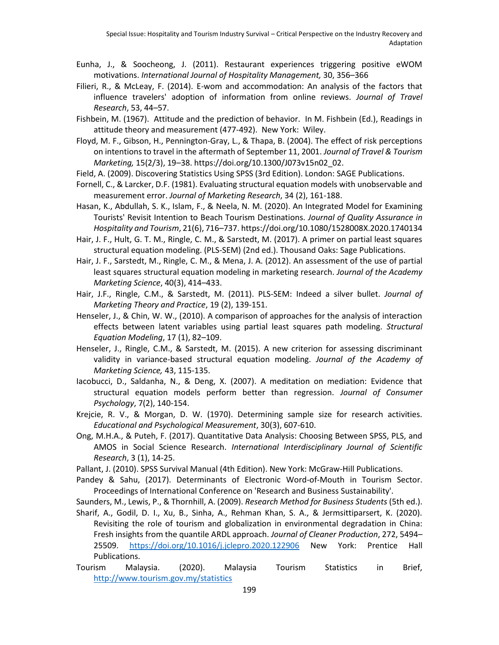- Eunha, J., & Soocheong, J. (2011). Restaurant experiences triggering positive eWOM motivations. *International Journal of Hospitality Management,* 30, 356–366
- Filieri, R., & McLeay, F. (2014). E-wom and accommodation: An analysis of the factors that influence travelers' adoption of information from online reviews. *Journal of Travel Research*, 53, 44–57.
- Fishbein, M. (1967). Attitude and the prediction of behavior. In M. Fishbein (Ed.), Readings in attitude theory and measurement (477-492). New York: Wiley.
- Floyd, M. F., Gibson, H., Pennington-Gray, L., & Thapa, B. (2004). The effect of risk perceptions on intentions to travel in the aftermath of September 11, 2001. *Journal of Travel & Tourism Marketing,* 15(2/3), 19–38. https://doi.org/10.1300/J073v15n02\_02.
- Field, A. (2009). Discovering Statistics Using SPSS (3rd Edition). London: SAGE Publications.
- Fornell, C., & Larcker, D.F. (1981). Evaluating structural equation models with unobservable and measurement error. *Journal of Marketing Research*, 34 (2), 161-188.
- Hasan, K., Abdullah, S. K., Islam, F., & Neela, N. M. (2020). An Integrated Model for Examining Tourists' Revisit Intention to Beach Tourism Destinations. *Journal of Quality Assurance in Hospitality and Tourism*, 21(6), 716–737. https://doi.org/10.1080/1528008X.2020.1740134
- Hair, J. F., Hult, G. T. M., Ringle, C. M., & Sarstedt, M. (2017). A primer on partial least squares structural equation modeling. (PLS-SEM) (2nd ed.). Thousand Oaks: Sage Publications.
- Hair, J. F., Sarstedt, M., Ringle, C. M., & Mena, J. A. (2012). An assessment of the use of partial least squares structural equation modeling in marketing research. *Journal of the Academy Marketing Science*, 40(3), 414–433.
- Hair, J.F., Ringle, C.M., & Sarstedt, M. (2011). PLS-SEM: Indeed a silver bullet. *Journal of Marketing Theory and Practice*, 19 (2), 139-151.
- Henseler, J., & Chin, W. W., (2010). A comparison of approaches for the analysis of interaction effects between latent variables using partial least squares path modeling. *Structural Equation Modeling*, 17 (1), 82–109.
- Henseler, J., Ringle, C.M., & Sarstedt, M. (2015). A new criterion for assessing discriminant validity in variance-based structural equation modeling. *Journal of the Academy of Marketing Science,* 43, 115-135.
- Iacobucci, D., Saldanha, N., & Deng, X. (2007). A meditation on mediation: Evidence that structural equation models perform better than regression. *Journal of Consumer Psychology*, 7(2), 140-154.
- Krejcie, R. V., & Morgan, D. W. (1970). Determining sample size for research activities. *Educational and Psychological Measurement*, 30(3), 607-610.
- Ong, M.H.A., & Puteh, F. (2017). Quantitative Data Analysis: Choosing Between SPSS, PLS, and AMOS in Social Science Research. *International Interdisciplinary Journal of Scientific Research*, 3 (1), 14-25.
- Pallant, J. (2010). SPSS Survival Manual (4th Edition). New York: McGraw-Hill Publications.
- Pandey & Sahu, (2017). Determinants of Electronic Word-of-Mouth in Tourism Sector. Proceedings of International Conference on 'Research and Business Sustainability'.
- Saunders, M., Lewis, P., & Thornhill, A. (2009). *Research Method for Business Students* (5th ed.).
- Sharif, A., Godil, D. I., Xu, B., Sinha, A., Rehman Khan, S. A., & Jermsittiparsert, K. (2020). Revisiting the role of tourism and globalization in environmental degradation in China: Fresh insights from the quantile ARDL approach. *Journal of Cleaner Production*, 272, 5494– 25509. <https://doi.org/10.1016/j.jclepro.2020.122906> New York: Prentice Hall Publications.
- Tourism Malaysia. (2020). Malaysia Tourism Statistics in Brief, <http://www.tourism.gov.my/statistics>